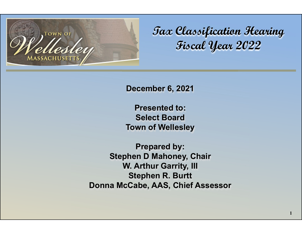

**Tax Classification Hearing Fiscal Year 2022**

**December 6, 2021**

**Presented to:Select Board Town of Wellesley**

**Prepared by: Stephen D Mahoney, Chair W. Arthur Garrity, III Stephen R. Burtt Donna McCabe, AAS, Chief Assessor**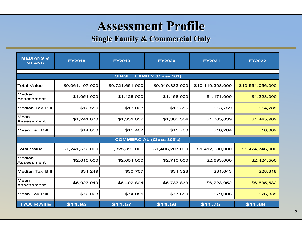# **Assessment Profile**

#### **Single Family & Commercial Only**

| <b>MEDIANS &amp;</b><br><b>MEANS</b> | <b>FY2018</b>   | <b>FY2019</b>   | <b>FY2020</b>   | <b>FY2021</b>    | <b>FY2022</b>    |  |  |  |  |  |
|--------------------------------------|-----------------|-----------------|-----------------|------------------|------------------|--|--|--|--|--|
| <b>SINGLE FAMILY (Class 101)</b>     |                 |                 |                 |                  |                  |  |  |  |  |  |
| <b>Total Value</b>                   | \$9,061,107,000 | \$9,721,651,000 | \$9,949,832,000 | \$10,119,398,000 | \$10,551,056,000 |  |  |  |  |  |
| Median<br>Assessment                 | \$1,051,000     | \$1,126,000     | \$1,158,000     | \$1,171,000      | \$1,223,000      |  |  |  |  |  |
| <b>Median Tax Bill</b>               | \$12,559        | \$13,028        | \$13,386        | \$13,759         | \$14,285         |  |  |  |  |  |
| Mean<br>Assessment                   | \$1,241,670     | \$1,331,652     | \$1,363,364     | \$1,385,839      | \$1,445,969      |  |  |  |  |  |
| <b>Mean Tax Bill</b>                 | \$14,838        | \$15,407        | \$15,760        | \$16,284         | \$16,889         |  |  |  |  |  |
| <b>COMMERCIAL (Class 300's)</b>      |                 |                 |                 |                  |                  |  |  |  |  |  |
| <b>Total Value</b>                   | \$1,241,572,000 | \$1,325,399,000 | \$1,408,207,000 | \$1,412,030,000  | \$1,424,746,000  |  |  |  |  |  |
| Median<br>Assessment                 | \$2,615,000     | \$2,654,000     | \$2,710,000     | \$2,693,000      | \$2,424,500      |  |  |  |  |  |
| <b>Median Tax Bill</b>               | \$31,249        | \$30,707        | \$31,328        | \$31,643         | \$28,318         |  |  |  |  |  |
| Mean<br>Assessment                   | \$6,027,049     | \$6,402,894     | \$6,737,833     | \$6,723,952      | \$6,535,532      |  |  |  |  |  |
| <b>Mean Tax Bill</b>                 | \$72,023        | \$74,081        | \$77,889        | \$79,006         | \$76,335         |  |  |  |  |  |
| <b>TAX RATE</b>                      | \$11.95         | \$11.57         | \$11.56         | \$11.75          | \$11.68          |  |  |  |  |  |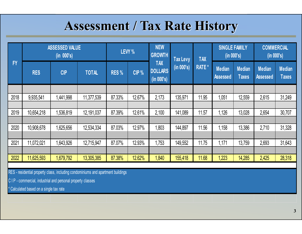# **Assessment / Tax Rate History**

|           |            | <b>ASSESSED VALUE</b><br>(in 000's) |              | LEVY %           |        | <b>NEW</b><br><b>GROWTH</b>                | <b>Tax Levy</b> | <b>TAX</b>    | <b>SINGLE FAMILY</b><br>(in 000's) |                               |                           | <b>COMMERCIAL</b><br>(in 000's) |  |
|-----------|------------|-------------------------------------|--------------|------------------|--------|--------------------------------------------|-----------------|---------------|------------------------------------|-------------------------------|---------------------------|---------------------------------|--|
| <b>FY</b> | <b>RES</b> | <b>CIP</b>                          | <b>TOTAL</b> | RES <sub>%</sub> | CIP %  | <b>TAX</b><br><b>DOLLARS</b><br>(in 000's) | (in 000's)      | <b>RATE</b> * | <b>Median</b><br><b>Assessed</b>   | <b>Median</b><br><b>Taxes</b> | Median<br><b>Assessed</b> | <b>Median</b><br><b>Taxes</b>   |  |
|           |            |                                     |              |                  |        |                                            |                 |               |                                    |                               |                           |                                 |  |
| 2018      | 9,935,541  | 1,441,998                           | 11,377,539   | 87.33%           | 12.67% | 2,173                                      | 135,971         | 11.95         | 1,051                              | 12,559                        | 2,615                     | 31,249                          |  |
|           |            |                                     |              |                  |        |                                            |                 |               |                                    |                               |                           |                                 |  |
| 2019      | 10,654,218 | 1,536,819                           | 12,191,037   | 87.39%           | 12.61% | 2,100                                      | 141,089         | 11.57         | 1,126                              | 13,028                        | 2,654                     | 30,707                          |  |
|           |            |                                     |              |                  |        |                                            |                 |               |                                    |                               |                           |                                 |  |
| 2020      | 10,908,678 | 1,625,656                           | 12,534,334   | 87.03%           | 12.97% | 1,803                                      | 144,897         | 11.56         | 1,158                              | 13,386                        | 2,710                     | 31,328                          |  |
|           |            |                                     |              |                  |        |                                            |                 |               |                                    |                               |                           |                                 |  |
| 2021      | 11,072,021 | 1,643,926                           | 12,715,947   | 87.07%           | 12.93% | 1,753                                      | 149,552         | 11.75         | 1,171                              | 13,759                        | 2,693                     | 31,643                          |  |
|           |            |                                     |              |                  |        |                                            |                 |               |                                    |                               |                           |                                 |  |
| 2022      | 11,625,593 | 1,679,792                           | 13,305,385   | 87.38%           | 12.62% | 1,840                                      | 155,418         | 11.68         | .223                               | 14,285                        | 2,425                     | 28,318                          |  |

RES - residential property class, including condominiums and apartment buildings

C I P - commercial, industrial and personal property classes

\* Calculated based on a single tax rate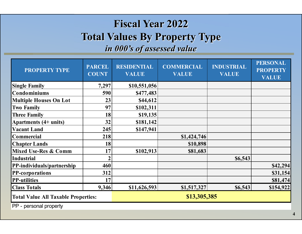### **Fiscal Year 2022 Total Values By Property Type** *in 000's of assessed value*

| <b>PROPERTY TYPE</b>                       | <b>PARCEL</b><br><b>COUNT</b> | <b>RESIDENTIAL</b><br><b>VALUE</b> | <b>COMMERCIAL</b><br><b>VALUE</b> | <b>INDUSTRIAL</b><br><b>VALUE</b> | <b>PERSONAL</b><br><b>PROPERTY</b><br><b>VALUE</b> |  |
|--------------------------------------------|-------------------------------|------------------------------------|-----------------------------------|-----------------------------------|----------------------------------------------------|--|
| <b>Single Family</b>                       | 7,297                         | \$10,551,056                       |                                   |                                   |                                                    |  |
| Condominiums                               | 590                           | \$477,483                          |                                   |                                   |                                                    |  |
| <b>Multiple Houses On Lot</b>              | 23                            | \$44,612                           |                                   |                                   |                                                    |  |
| <b>Two Family</b>                          | 97                            | \$102,311                          |                                   |                                   |                                                    |  |
| <b>Three Family</b>                        | 18                            | \$19,135                           |                                   |                                   |                                                    |  |
| Apartments (4+ units)                      | 32                            | \$181,142                          |                                   |                                   |                                                    |  |
| <b>Vacant Land</b>                         | 245                           | \$147,941                          |                                   |                                   |                                                    |  |
| Commercial                                 | 218                           |                                    | \$1,424,746                       |                                   |                                                    |  |
| <b>Chapter Lands</b>                       | 18                            |                                    | \$10,898                          |                                   |                                                    |  |
| <b>Mixed Use-Res &amp; Comm</b>            | 17 <sub>1</sub>               | \$102,913                          | \$81,683                          |                                   |                                                    |  |
| <b>Industrial</b>                          | $\boldsymbol{2}$              |                                    |                                   | \$6,543                           |                                                    |  |
| PP-individuals/partnership                 | 460                           |                                    |                                   |                                   | \$42,294                                           |  |
| <b>PP-corporations</b>                     | 312                           |                                    |                                   |                                   | \$31,154                                           |  |
| <b>PP-utilities</b>                        | 17                            |                                    |                                   |                                   | \$81,474                                           |  |
| <b>Class Totals</b>                        | 9,346                         | \$11,626,593                       | \$1,517,327                       | \$6,543                           | \$154,922                                          |  |
| <b>Total Value All Taxable Properties:</b> |                               | \$13,305,385                       |                                   |                                   |                                                    |  |

PP - personal property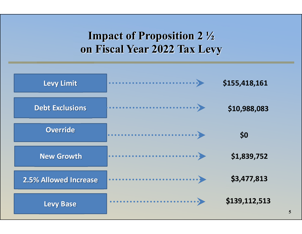## **Impact of Proposition 2 ½ on Fiscal Year 2022 Tax Levy**

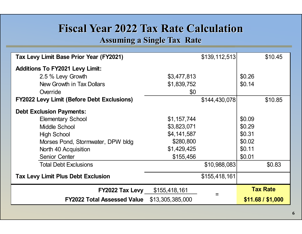### **Fiscal Year 2022 Tax Rate Calculation**

#### **Assuming a Single Tax Rate**

| Tax Levy Limit Base Prior Year (FY2021)           |                  | \$139, 112, 513 | \$10.45           |
|---------------------------------------------------|------------------|-----------------|-------------------|
| <b>Additions To FY2021 Levy Limit:</b>            |                  |                 |                   |
| 2.5 % Levy Growth                                 | \$3,477,813      |                 | \$0.26            |
| New Growth in Tax Dollars                         | \$1,839,752      |                 | \$0.14            |
| Override                                          | \$0              |                 |                   |
| <b>FY2022 Levy Limit (Before Debt Exclusions)</b> |                  | \$144,430,078   | \$10.85           |
| <b>Debt Exclusion Payments:</b>                   |                  |                 |                   |
| <b>Elementary School</b>                          | \$1,157,744      |                 | \$0.09            |
| Middle School                                     | \$3,823,071      |                 | \$0.29            |
| <b>High School</b>                                | \$4,141,587      |                 | \$0.31            |
| Morses Pond, Stormwater, DPW bldg                 | \$280,800        |                 | \$0.02            |
| North 40 Acquisition                              | \$1,429,425      |                 | \$0.11            |
| <b>Senior Center</b>                              | \$155,456        |                 | \$0.01            |
| <b>Total Debt Exclusions</b>                      |                  | \$10,988,083    | \$0.83            |
| <b>Tax Levy Limit Plus Debt Exclusion</b>         |                  | \$155,418,161   |                   |
| FY2022 Tax Levy                                   | \$155,418,161    |                 | <b>Tax Rate</b>   |
| <b>FY2022 Total Assessed Value</b>                | \$13,305,385,000 |                 | \$11.68 / \$1,000 |